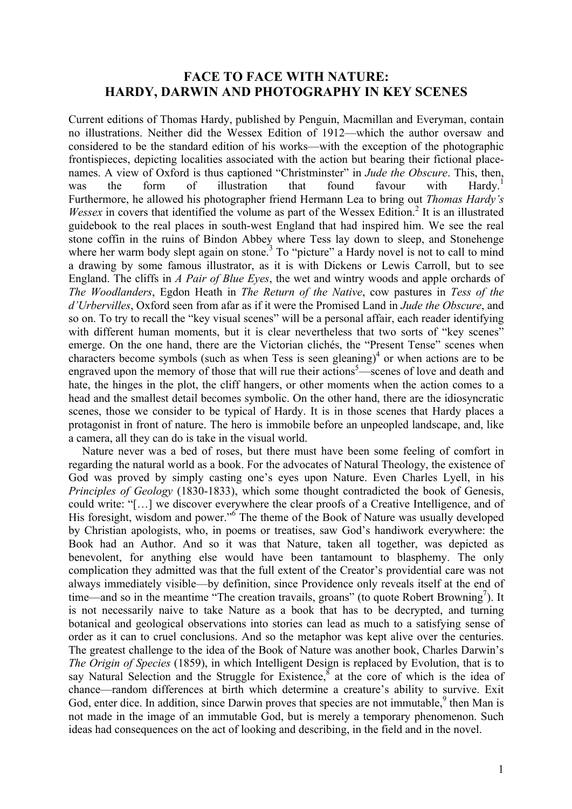## **FACE TO FACE WITH NATURE: HARDY, DARWIN AND PHOTOGRAPHY IN KEY SCENES**

Current editions of Thomas Hardy, published by Penguin, Macmillan and Everyman, contain no illustrations. Neither did the Wessex Edition of 1912—which the author oversaw and considered to be the standard edition of his works—with the exception of the photographic frontispieces, depicting localities associated with the action but bearing their fictional placenames. A view of Oxford is thus captioned "Christminster" in *Jude the Obscure*. This, then, was the form of illustration that found favour with Hardy.<sup>1</sup> Furthermore, he allowed his photographer friend Hermann Lea to bring out *Thomas Hardy's Wessex* in covers that identified the volume as part of the Wessex Edition.<sup>2</sup> It is an illustrated guidebook to the real places in south-west England that had inspired him. We see the real stone coffin in the ruins of Bindon Abbey where Tess lay down to sleep, and Stonehenge where her warm body slept again on stone.<sup>3</sup> To "picture" a Hardy novel is not to call to mind a drawing by some famous illustrator, as it is with Dickens or Lewis Carroll, but to see England. The cliffs in *A Pair of Blue Eyes*, the wet and wintry woods and apple orchards of *The Woodlanders*, Egdon Heath in *The Return of the Native*, cow pastures in *Tess of the d'Urbervilles*, Oxford seen from afar as if it were the Promised Land in *Jude the Obscure*, and so on. To try to recall the "key visual scenes" will be a personal affair, each reader identifying with different human moments, but it is clear nevertheless that two sorts of "key scenes" emerge. On the one hand, there are the Victorian clichés, the "Present Tense" scenes when characters become symbols (such as when Tess is seen gleaning)<sup>4</sup> or when actions are to be engraved upon the memory of those that will rue their actions<sup>5</sup>—scenes of love and death and hate, the hinges in the plot, the cliff hangers, or other moments when the action comes to a head and the smallest detail becomes symbolic. On the other hand, there are the idiosyncratic scenes, those we consider to be typical of Hardy. It is in those scenes that Hardy places a protagonist in front of nature. The hero is immobile before an unpeopled landscape, and, like a camera, all they can do is take in the visual world.

Nature never was a bed of roses, but there must have been some feeling of comfort in regarding the natural world as a book. For the advocates of Natural Theology, the existence of God was proved by simply casting one's eyes upon Nature. Even Charles Lyell, in his *Principles of Geology* (1830-1833), which some thought contradicted the book of Genesis, could write: "[…] we discover everywhere the clear proofs of a Creative Intelligence, and of His foresight, wisdom and power."<sup>6</sup> The theme of the Book of Nature was usually developed by Christian apologists, who, in poems or treatises, saw God's handiwork everywhere: the Book had an Author. And so it was that Nature, taken all together, was depicted as benevolent, for anything else would have been tantamount to blasphemy. The only complication they admitted was that the full extent of the Creator's providential care was not always immediately visible—by definition, since Providence only reveals itself at the end of time—and so in the meantime "The creation travails, groans" (to quote Robert Browning<sup>7</sup>). It is not necessarily naive to take Nature as a book that has to be decrypted, and turning botanical and geological observations into stories can lead as much to a satisfying sense of order as it can to cruel conclusions. And so the metaphor was kept alive over the centuries. The greatest challenge to the idea of the Book of Nature was another book, Charles Darwin's *The Origin of Species* (1859), in which Intelligent Design is replaced by Evolution, that is to say Natural Selection and the Struggle for Existence, $8$  at the core of which is the idea of chance—random differences at birth which determine a creature's ability to survive. Exit God, enter dice. In addition, since Darwin proves that species are not immutable. <sup>9</sup> then Man is not made in the image of an immutable God, but is merely a temporary phenomenon. Such ideas had consequences on the act of looking and describing, in the field and in the novel.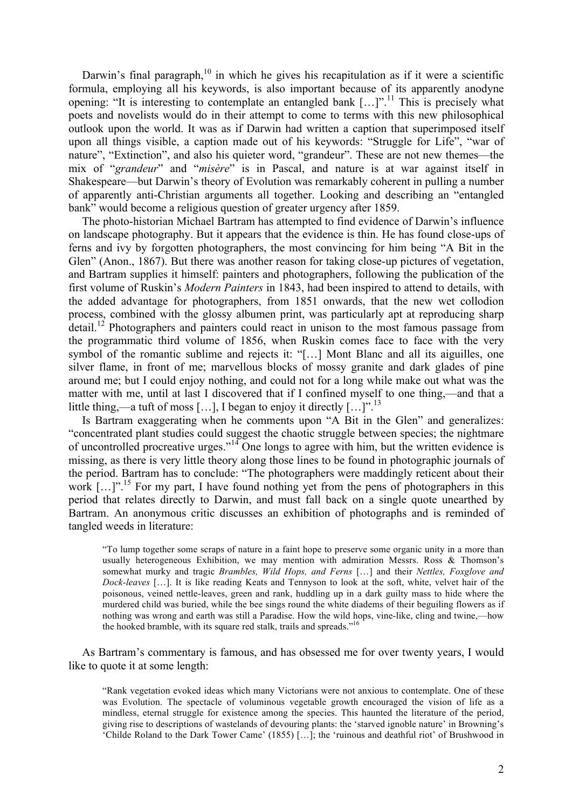Darwin's final paragraph, $10$  in which he gives his recapitulation as if it were a scientific formula, employing all his keywords, is also important because of its apparently anodyne opening: "It is interesting to contemplate an entangled bank […]".<sup>11</sup> This is precisely what poets and novelists would do in their attempt to come to terms with this new philosophical outlook upon the world. It was as if Darwin had written a caption that superimposed itself upon all things visible, a caption made out of his keywords: "Struggle for Life", "war of nature", "Extinction", and also his quieter word, "grandeur". These are not new themes—the mix of "*grandeur*" and "*misère*" is in Pascal, and nature is at war against itself in Shakespeare—but Darwin's theory of Evolution was remarkably coherent in pulling a number of apparently anti-Christian arguments all together. Looking and describing an "entangled bank" would become a religious question of greater urgency after 1859.

The photo-historian Michael Bartram has attempted to find evidence of Darwin's influence on landscape photography. But it appears that the evidence is thin. He has found close-ups of ferns and ivy by forgotten photographers, the most convincing for him being "A Bit in the Glen" (Anon., 1867). But there was another reason for taking close-up pictures of vegetation, and Bartram supplies it himself: painters and photographers, following the publication of the first volume of Ruskin's *Modern Painters* in 1843, had been inspired to attend to details, with the added advantage for photographers, from 1851 onwards, that the new wet collodion process, combined with the glossy albumen print, was particularly apt at reproducing sharp  $\delta$  detail.<sup>12</sup> Photographers and painters could react in unison to the most famous passage from the programmatic third volume of 1856, when Ruskin comes face to face with the very symbol of the romantic sublime and rejects it: "[…] Mont Blanc and all its aiguilles, one silver flame, in front of me; marvellous blocks of mossy granite and dark glades of pine around me; but I could enjoy nothing, and could not for a long while make out what was the matter with me, until at last I discovered that if I confined myself to one thing,—and that a little thing,—a tuft of moss […], I began to enjoy it directly  $\left[\ldots\right]$ <sup>n 13</sup>

Is Bartram exaggerating when he comments upon "A Bit in the Glen" and generalizes: "concentrated plant studies could suggest the chaotic struggle between species; the nightmare of uncontrolled procreative urges."<sup>14</sup> One longs to agree with him, but the written evidence is missing, as there is very little theory along those lines to be found in photographic journals of the period. Bartram has to conclude: "The photographers were maddingly reticent about their work  $[\dots]^{n+15}$  For my part, I have found nothing yet from the pens of photographers in this period that relates directly to Darwin, and must fall back on a single quote unearthed by Bartram. An anonymous critic discusses an exhibition of photographs and is reminded of tangled weeds in literature:

"To lump together some scraps of nature in a faint hope to preserve some organic unity in a more than usually heterogeneous Exhibition, we may mention with admiration Messrs. Ross & Thomson's somewhat murky and tragic *Brambles, Wild Hops, and Ferns* […] and their *Nettles, Foxglove and Dock-leaves* […]. It is like reading Keats and Tennyson to look at the soft, white, velvet hair of the poisonous, veined nettle-leaves, green and rank, huddling up in a dark guilty mass to hide where the murdered child was buried, while the bee sings round the white diadems of their beguiling flowers as if nothing was wrong and earth was still a Paradise. How the wild hops, vine-like, cling and twine,—how the hooked bramble, with its square red stalk, trails and spreads."16

As Bartram's commentary is famous, and has obsessed me for over twenty years, I would like to quote it at some length:

"Rank vegetation evoked ideas which many Victorians were not anxious to contemplate. One of these was Evolution. The spectacle of voluminous vegetable growth encouraged the vision of life as a mindless, eternal struggle for existence among the species. This haunted the literature of the period, giving rise to descriptions of wastelands of devouring plants: the 'starved ignoble nature' in Browning's 'Childe Roland to the Dark Tower Came' (1855) […]; the 'ruinous and deathful riot' of Brushwood in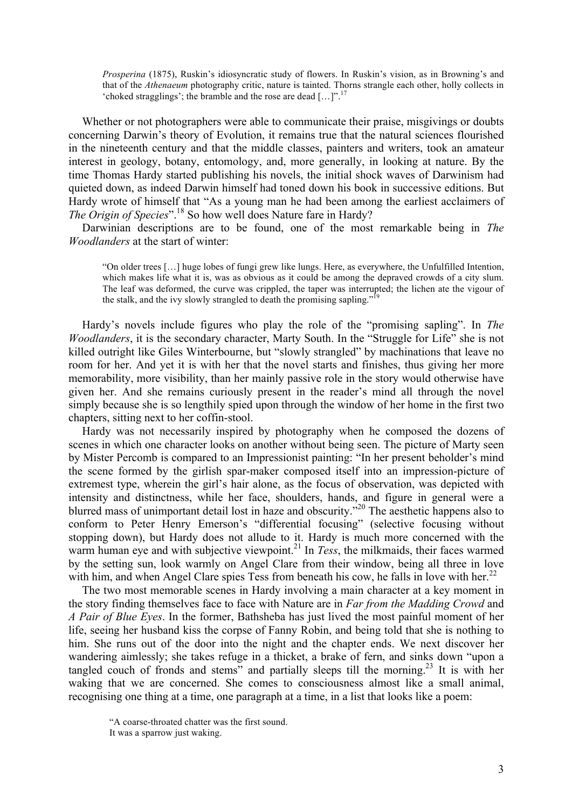*Prosperina* (1875), Ruskin's idiosyncratic study of flowers. In Ruskin's vision, as in Browning's and that of the *Athenaeum* photography critic, nature is tainted. Thorns strangle each other, holly collects in 'choked stragglings'; the bramble and the rose are dead […]".<sup>17</sup>

Whether or not photographers were able to communicate their praise, misgivings or doubts concerning Darwin's theory of Evolution, it remains true that the natural sciences flourished in the nineteenth century and that the middle classes, painters and writers, took an amateur interest in geology, botany, entomology, and, more generally, in looking at nature. By the time Thomas Hardy started publishing his novels, the initial shock waves of Darwinism had quieted down, as indeed Darwin himself had toned down his book in successive editions. But Hardy wrote of himself that "As a young man he had been among the earliest acclaimers of *The Origin of Species*".<sup>18</sup> So how well does Nature fare in Hardy?

Darwinian descriptions are to be found, one of the most remarkable being in *The Woodlanders* at the start of winter:

"On older trees […] huge lobes of fungi grew like lungs. Here, as everywhere, the Unfulfilled Intention, which makes life what it is, was as obvious as it could be among the depraved crowds of a city slum. The leaf was deformed, the curve was crippled, the taper was interrupted; the lichen ate the vigour of the stalk, and the ivy slowly strangled to death the promising sapling."<sup>19</sup>

Hardy's novels include figures who play the role of the "promising sapling". In *The Woodlanders*, it is the secondary character, Marty South. In the "Struggle for Life" she is not killed outright like Giles Winterbourne, but "slowly strangled" by machinations that leave no room for her. And yet it is with her that the novel starts and finishes, thus giving her more memorability, more visibility, than her mainly passive role in the story would otherwise have given her. And she remains curiously present in the reader's mind all through the novel simply because she is so lengthily spied upon through the window of her home in the first two chapters, sitting next to her coffin-stool.

Hardy was not necessarily inspired by photography when he composed the dozens of scenes in which one character looks on another without being seen. The picture of Marty seen by Mister Percomb is compared to an Impressionist painting: "In her present beholder's mind the scene formed by the girlish spar-maker composed itself into an impression-picture of extremest type, wherein the girl's hair alone, as the focus of observation, was depicted with intensity and distinctness, while her face, shoulders, hands, and figure in general were a blurred mass of unimportant detail lost in haze and obscurity."<sup>20</sup> The aesthetic happens also to conform to Peter Henry Emerson's "differential focusing" (selective focusing without stopping down), but Hardy does not allude to it. Hardy is much more concerned with the warm human eye and with subjective viewpoint.<sup>21</sup> In *Tess*, the milkmaids, their faces warmed by the setting sun, look warmly on Angel Clare from their window, being all three in love with him, and when Angel Clare spies Tess from beneath his cow, he falls in love with her.<sup>22</sup>

The two most memorable scenes in Hardy involving a main character at a key moment in the story finding themselves face to face with Nature are in *Far from the Madding Crowd* and *A Pair of Blue Eyes*. In the former, Bathsheba has just lived the most painful moment of her life, seeing her husband kiss the corpse of Fanny Robin, and being told that she is nothing to him. She runs out of the door into the night and the chapter ends. We next discover her wandering aimlessly; she takes refuge in a thicket, a brake of fern, and sinks down "upon a tangled couch of fronds and stems" and partially sleeps till the morning.<sup>23</sup> It is with her waking that we are concerned. She comes to consciousness almost like a small animal, recognising one thing at a time, one paragraph at a time, in a list that looks like a poem:

<sup>&</sup>quot;A coarse-throated chatter was the first sound. It was a sparrow just waking.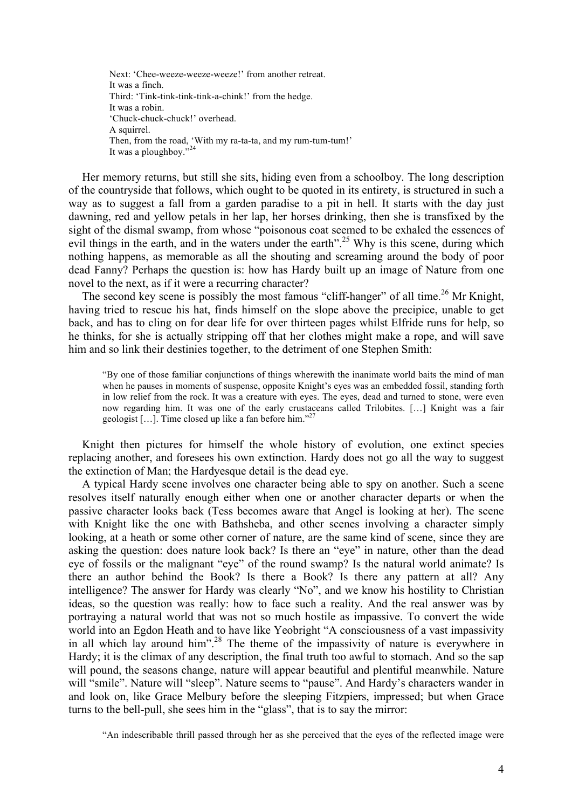Next: 'Chee-weeze-weeze-weeze!' from another retreat. It was a finch. Third: 'Tink-tink-tink-tink-a-chink!' from the hedge. It was a robin. 'Chuck-chuck-chuck!' overhead. A squirrel. Then, from the road, 'With my ra-ta-ta, and my rum-tum-tum!' It was a ploughboy."<sup>24</sup>

Her memory returns, but still she sits, hiding even from a schoolboy. The long description of the countryside that follows, which ought to be quoted in its entirety, is structured in such a way as to suggest a fall from a garden paradise to a pit in hell. It starts with the day just dawning, red and yellow petals in her lap, her horses drinking, then she is transfixed by the sight of the dismal swamp, from whose "poisonous coat seemed to be exhaled the essences of evil things in the earth, and in the waters under the earth".<sup>25</sup> Why is this scene, during which nothing happens, as memorable as all the shouting and screaming around the body of poor dead Fanny? Perhaps the question is: how has Hardy built up an image of Nature from one novel to the next, as if it were a recurring character?

The second key scene is possibly the most famous "cliff-hanger" of all time.<sup>26</sup> Mr Knight, having tried to rescue his hat, finds himself on the slope above the precipice, unable to get back, and has to cling on for dear life for over thirteen pages whilst Elfride runs for help, so he thinks, for she is actually stripping off that her clothes might make a rope, and will save him and so link their destinies together, to the detriment of one Stephen Smith:

"By one of those familiar conjunctions of things wherewith the inanimate world baits the mind of man when he pauses in moments of suspense, opposite Knight's eyes was an embedded fossil, standing forth in low relief from the rock. It was a creature with eyes. The eyes, dead and turned to stone, were even now regarding him. It was one of the early crustaceans called Trilobites. […] Knight was a fair geologist [...]. Time closed up like a fan before him."<sup>27</sup>

Knight then pictures for himself the whole history of evolution, one extinct species replacing another, and foresees his own extinction. Hardy does not go all the way to suggest the extinction of Man; the Hardyesque detail is the dead eye.

A typical Hardy scene involves one character being able to spy on another. Such a scene resolves itself naturally enough either when one or another character departs or when the passive character looks back (Tess becomes aware that Angel is looking at her). The scene with Knight like the one with Bathsheba, and other scenes involving a character simply looking, at a heath or some other corner of nature, are the same kind of scene, since they are asking the question: does nature look back? Is there an "eye" in nature, other than the dead eye of fossils or the malignant "eye" of the round swamp? Is the natural world animate? Is there an author behind the Book? Is there a Book? Is there any pattern at all? Any intelligence? The answer for Hardy was clearly "No", and we know his hostility to Christian ideas, so the question was really: how to face such a reality. And the real answer was by portraying a natural world that was not so much hostile as impassive. To convert the wide world into an Egdon Heath and to have like Yeobright "A consciousness of a vast impassivity in all which lay around him".<sup>28</sup> The theme of the impassivity of nature is everywhere in Hardy; it is the climax of any description, the final truth too awful to stomach. And so the sap will pound, the seasons change, nature will appear beautiful and plentiful meanwhile. Nature will "smile". Nature will "sleep". Nature seems to "pause". And Hardy's characters wander in and look on, like Grace Melbury before the sleeping Fitzpiers, impressed; but when Grace turns to the bell-pull, she sees him in the "glass", that is to say the mirror:

<sup>&</sup>quot;An indescribable thrill passed through her as she perceived that the eyes of the reflected image were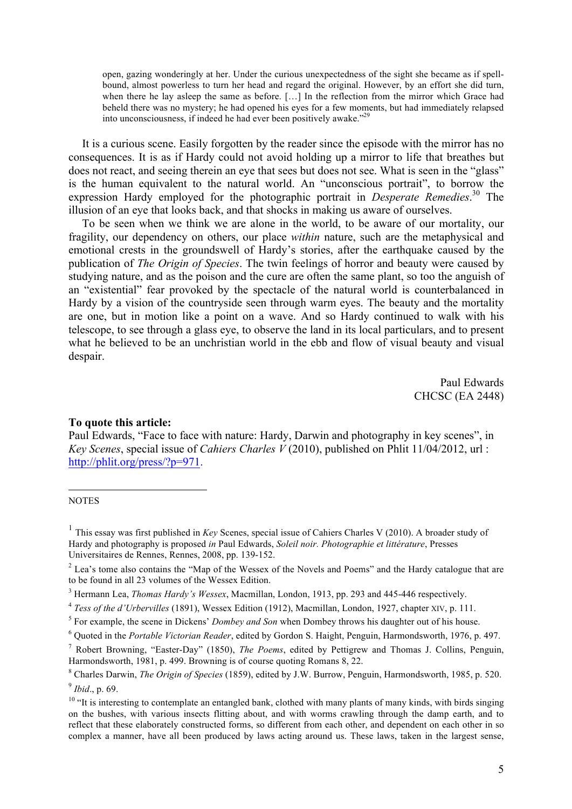open, gazing wonderingly at her. Under the curious unexpectedness of the sight she became as if spellbound, almost powerless to turn her head and regard the original. However, by an effort she did turn, when there he lay asleep the same as before. […] In the reflection from the mirror which Grace had beheld there was no mystery; he had opened his eyes for a few moments, but had immediately relapsed into unconsciousness, if indeed he had ever been positively awake."29

It is a curious scene. Easily forgotten by the reader since the episode with the mirror has no consequences. It is as if Hardy could not avoid holding up a mirror to life that breathes but does not react, and seeing therein an eye that sees but does not see. What is seen in the "glass" is the human equivalent to the natural world. An "unconscious portrait", to borrow the expression Hardy employed for the photographic portrait in *Desperate Remedies*. <sup>30</sup> The illusion of an eye that looks back, and that shocks in making us aware of ourselves.

To be seen when we think we are alone in the world, to be aware of our mortality, our fragility, our dependency on others, our place *within* nature, such are the metaphysical and emotional crests in the groundswell of Hardy's stories, after the earthquake caused by the publication of *The Origin of Species*. The twin feelings of horror and beauty were caused by studying nature, and as the poison and the cure are often the same plant, so too the anguish of an "existential" fear provoked by the spectacle of the natural world is counterbalanced in Hardy by a vision of the countryside seen through warm eyes. The beauty and the mortality are one, but in motion like a point on a wave. And so Hardy continued to walk with his telescope, to see through a glass eye, to observe the land in its local particulars, and to present what he believed to be an unchristian world in the ebb and flow of visual beauty and visual despair.

> Paul Edwards CHCSC (EA 2448)

## **To quote this article:**

Paul Edwards, "Face to face with nature: Hardy, Darwin and photography in key scenes", in *Key Scenes*, special issue of *Cahiers Charles V* (2010), published on Phlit 11/04/2012, url : http://phlit.org/press/?p=971.

## **NOTES**

 $\overline{a}$ 

<sup>1</sup> This essay was first published in *Key* Scenes, special issue of Cahiers Charles V (2010). A broader study of Hardy and photography is proposed *in* Paul Edwards, *Soleil noir. Photographie et littérature*, Presses Universitaires de Rennes, Rennes, 2008, pp. 139-152.

<sup>&</sup>lt;sup>2</sup> Lea's tome also contains the "Map of the Wessex of the Novels and Poems" and the Hardy catalogue that are to be found in all 23 volumes of the Wessex Edition.

<sup>3</sup> Hermann Lea, *Thomas Hardy's Wessex*, Macmillan, London, 1913, pp. 293 and 445-446 respectively.

<sup>&</sup>lt;sup>4</sup> *Tess of the d'Urbervilles* (1891), Wessex Edition (1912), Macmillan, London, 1927, chapter XIV, p. 111.<br><sup>5</sup> For example, the scene in Dickens' *Dombey and Son* when Dombey throws his daughter out of his house.

<sup>6</sup> Quoted in the *Portable Victorian Reader*, edited by Gordon S. Haight, Penguin, Harmondsworth, 1976, p. 497.

<sup>7</sup> Robert Browning, "Easter-Day" (1850), *The Poems*, edited by Pettigrew and Thomas J. Collins, Penguin, Harmondsworth, 1981, p. 499. Browning is of course quoting Romans 8, 22.

<sup>8</sup> Charles Darwin, *The Origin of Species* (1859), edited by J.W. Burrow, Penguin, Harmondsworth, 1985, p. 520. <sup>9</sup> *Ibid*., p. 69.

 $10$  "It is interesting to contemplate an entangled bank, clothed with many plants of many kinds, with birds singing on the bushes, with various insects flitting about, and with worms crawling through the damp earth, and to reflect that these elaborately constructed forms, so different from each other, and dependent on each other in so complex a manner, have all been produced by laws acting around us. These laws, taken in the largest sense,